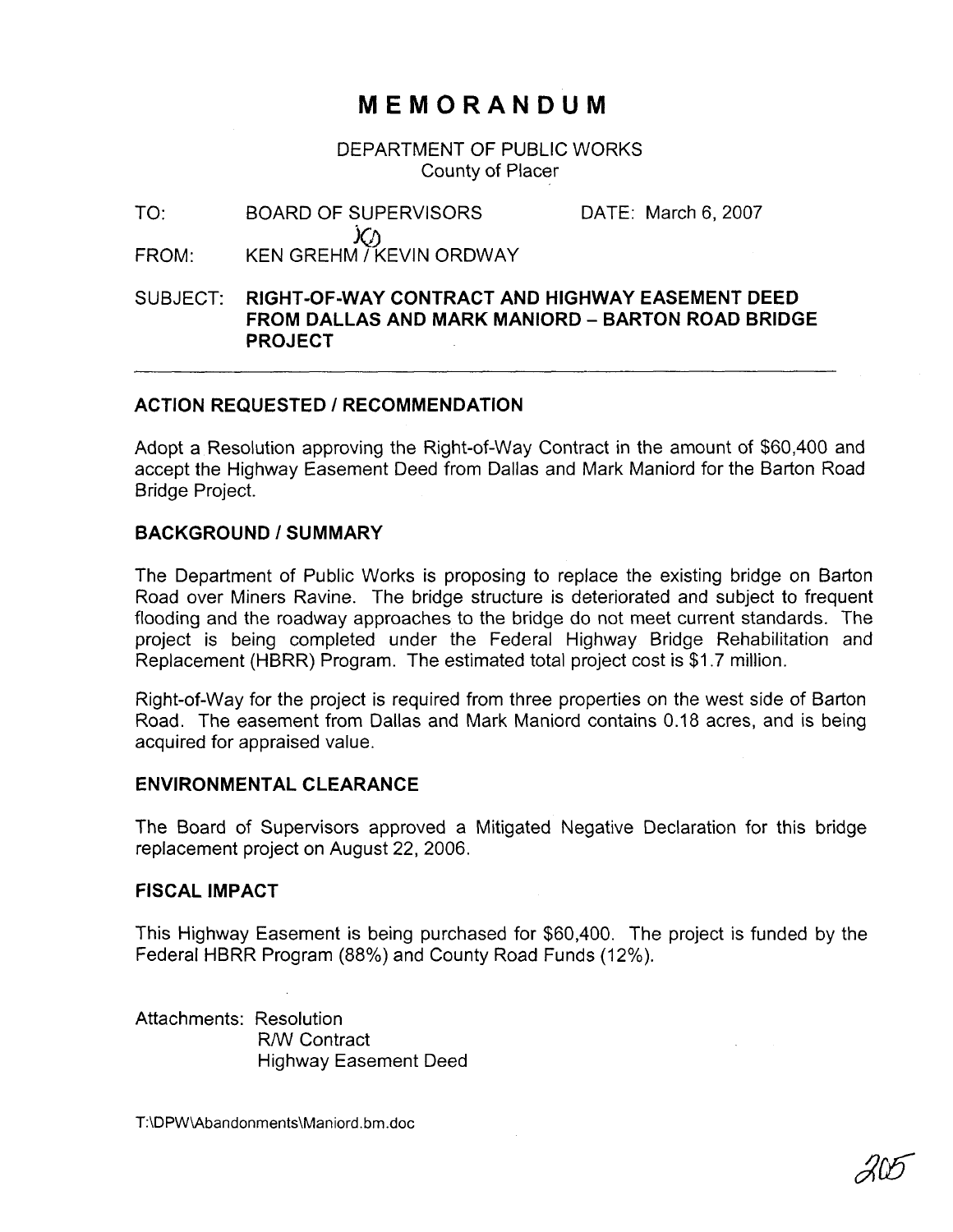# **MEMORANDUM**

DEPARTMENT OF PUBLIC WORKS County of Placer

TO: BOARD OF SUPERVISORS DATE: March 6, 2007 **FROM:** KEN GREHM / KEVIN ORDWAY

## SUBJECT: **RIGHT-OF-WAY CONTRACT AND HIGHWAY EASEMENT DEED FROM DALLAS AND MARK MANIORD - BARTON ROAD BRIDGE PROJECT**

### **ACTION REQUESTED** I **RECOMMENDATION**

Adopt a Resolution approving the Right-of-way Contract in the amount of \$60,400 and accept the Highway Easement Deed from Dallas and Mark Maniord for the Barton Road Bridge Project.

### **BACKGROUND 1 SUMMARY**

The Department of Public Works is proposing to replace the existing bridge on Barton Road over Miners Ravine. The bridge structure is deteriorated and subject to frequent flooding and the roadway approaches to the bridge do not meet current standards. The project is being completed under the Federal Highway Bridge Rehabilitation and Replacement (HBRR) Program. The estimated total project cost is \$1.7 million.

Right-of-way for the project is required from three properties on the west side of Barton Road. The easement from Dallas and Mark Maniord contains 0.18 acres, and is being acquired for appraised value.

#### **ENVIRONMENTAL CLEARANCE**

The Board of Supervisors approved a Mitigated Negative Declaration for this bridge replacement project on August 22, 2006.

#### **FISCAL IMPACT**

This Highway Easement is being purchased for \$60,400. The project is funded by the Federal HBRR Program (88%) and County Road Funds (12%).

Attachments: Resolution RNV Contract Highway Easement Deed

T:\DPW\Abandonments\Maniord.bm.doc